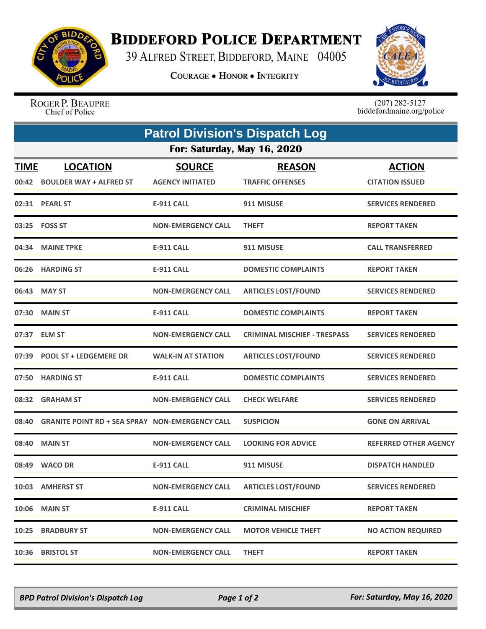

## **BIDDEFORD POLICE DEPARTMENT**

39 ALFRED STREET, BIDDEFORD, MAINE 04005

**COURAGE . HONOR . INTEGRITY** 



ROGER P. BEAUPRE Chief of Police

 $(207)$  282-5127<br>biddefordmaine.org/police

| <b>Patrol Division's Dispatch Log</b> |                                                        |                           |                                     |                              |  |  |  |
|---------------------------------------|--------------------------------------------------------|---------------------------|-------------------------------------|------------------------------|--|--|--|
| For: Saturday, May 16, 2020           |                                                        |                           |                                     |                              |  |  |  |
| <b>TIME</b>                           | <b>LOCATION</b>                                        | <b>SOURCE</b>             | <b>REASON</b>                       | <b>ACTION</b>                |  |  |  |
| 00:42                                 | <b>BOULDER WAY + ALFRED ST</b>                         | <b>AGENCY INITIATED</b>   | <b>TRAFFIC OFFENSES</b>             | <b>CITATION ISSUED</b>       |  |  |  |
|                                       | 02:31 PEARL ST                                         | <b>E-911 CALL</b>         | 911 MISUSE                          | <b>SERVICES RENDERED</b>     |  |  |  |
|                                       | 03:25    FOSS ST                                       | <b>NON-EMERGENCY CALL</b> | <b>THEFT</b>                        | <b>REPORT TAKEN</b>          |  |  |  |
|                                       | 04:34 MAINE TPKE                                       | <b>E-911 CALL</b>         | 911 MISUSE                          | <b>CALL TRANSFERRED</b>      |  |  |  |
|                                       | 06:26 HARDING ST                                       | <b>E-911 CALL</b>         | <b>DOMESTIC COMPLAINTS</b>          | <b>REPORT TAKEN</b>          |  |  |  |
|                                       | 06:43 MAY ST                                           | <b>NON-EMERGENCY CALL</b> | <b>ARTICLES LOST/FOUND</b>          | <b>SERVICES RENDERED</b>     |  |  |  |
|                                       | 07:30 MAIN ST                                          | <b>E-911 CALL</b>         | <b>DOMESTIC COMPLAINTS</b>          | <b>REPORT TAKEN</b>          |  |  |  |
|                                       | 07:37 ELM ST                                           | <b>NON-EMERGENCY CALL</b> | <b>CRIMINAL MISCHIEF - TRESPASS</b> | <b>SERVICES RENDERED</b>     |  |  |  |
|                                       | 07:39 POOL ST + LEDGEMERE DR                           | <b>WALK-IN AT STATION</b> | <b>ARTICLES LOST/FOUND</b>          | <b>SERVICES RENDERED</b>     |  |  |  |
| 07:50                                 | <b>HARDING ST</b>                                      | <b>E-911 CALL</b>         | <b>DOMESTIC COMPLAINTS</b>          | <b>SERVICES RENDERED</b>     |  |  |  |
| 08:32                                 | <b>GRAHAM ST</b>                                       | <b>NON-EMERGENCY CALL</b> | <b>CHECK WELFARE</b>                | <b>SERVICES RENDERED</b>     |  |  |  |
| 08:40                                 | <b>GRANITE POINT RD + SEA SPRAY NON-EMERGENCY CALL</b> |                           | <b>SUSPICION</b>                    | <b>GONE ON ARRIVAL</b>       |  |  |  |
| 08:40                                 | <b>MAIN ST</b>                                         | <b>NON-EMERGENCY CALL</b> | <b>LOOKING FOR ADVICE</b>           | <b>REFERRED OTHER AGENCY</b> |  |  |  |
|                                       | 08:49 WACO DR                                          | <b>E-911 CALL</b>         | 911 MISUSE                          | <b>DISPATCH HANDLED</b>      |  |  |  |
|                                       | 10:03 AMHERST ST                                       | <b>NON-EMERGENCY CALL</b> | <b>ARTICLES LOST/FOUND</b>          | <b>SERVICES RENDERED</b>     |  |  |  |
|                                       | <b>10:06 MAIN ST</b>                                   | <b>E-911 CALL</b>         | <b>CRIMINAL MISCHIEF</b>            | <b>REPORT TAKEN</b>          |  |  |  |
| 10:25                                 | <b>BRADBURY ST</b>                                     | <b>NON-EMERGENCY CALL</b> | <b>MOTOR VEHICLE THEFT</b>          | <b>NO ACTION REQUIRED</b>    |  |  |  |
| 10:36                                 | <b>BRISTOL ST</b>                                      | <b>NON-EMERGENCY CALL</b> | <b>THEFT</b>                        | <b>REPORT TAKEN</b>          |  |  |  |